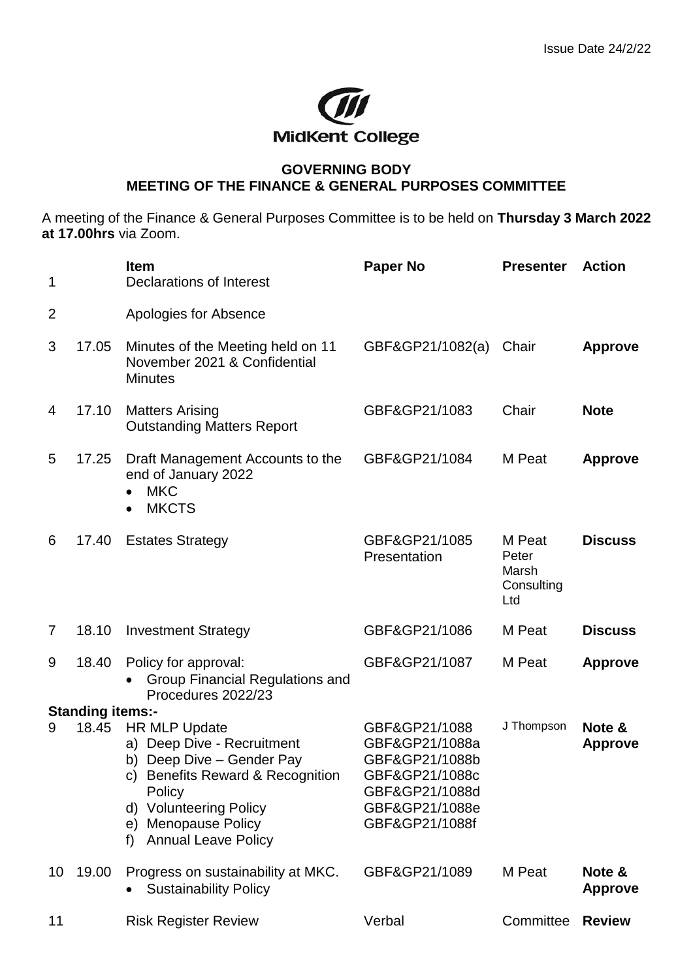

## **GOVERNING BODY MEETING OF THE FINANCE & GENERAL PURPOSES COMMITTEE**

A meeting of the Finance & General Purposes Committee is to be held on **Thursday 3 March 2022 at 17.00hrs** via Zoom.

| 1                       |       | <b>Item</b><br>Declarations of Interest                                                                                                                                                                            | <b>Paper No</b>                                                                                                           | <b>Presenter</b>                              | <b>Action</b>            |
|-------------------------|-------|--------------------------------------------------------------------------------------------------------------------------------------------------------------------------------------------------------------------|---------------------------------------------------------------------------------------------------------------------------|-----------------------------------------------|--------------------------|
| $\overline{2}$          |       | Apologies for Absence                                                                                                                                                                                              |                                                                                                                           |                                               |                          |
| 3                       | 17.05 | Minutes of the Meeting held on 11<br>November 2021 & Confidential<br><b>Minutes</b>                                                                                                                                | GBF&GP21/1082(a)                                                                                                          | Chair                                         | <b>Approve</b>           |
| 4                       | 17.10 | <b>Matters Arising</b><br><b>Outstanding Matters Report</b>                                                                                                                                                        | GBF&GP21/1083                                                                                                             | Chair                                         | <b>Note</b>              |
| 5                       | 17.25 | Draft Management Accounts to the<br>end of January 2022<br><b>MKC</b><br><b>MKCTS</b>                                                                                                                              | GBF&GP21/1084                                                                                                             | M Peat                                        | <b>Approve</b>           |
| 6                       | 17.40 | <b>Estates Strategy</b>                                                                                                                                                                                            | GBF&GP21/1085<br>Presentation                                                                                             | M Peat<br>Peter<br>Marsh<br>Consulting<br>Ltd | <b>Discuss</b>           |
| 7                       | 18.10 | <b>Investment Strategy</b>                                                                                                                                                                                         | GBF&GP21/1086                                                                                                             | M Peat                                        | <b>Discuss</b>           |
| 9                       | 18.40 | Policy for approval:<br><b>Group Financial Regulations and</b><br>Procedures 2022/23                                                                                                                               | GBF&GP21/1087                                                                                                             | M Peat                                        | <b>Approve</b>           |
| <b>Standing items:-</b> |       |                                                                                                                                                                                                                    |                                                                                                                           |                                               |                          |
| 9                       | 18.45 | <b>HR MLP Update</b><br>a) Deep Dive - Recruitment<br>b) Deep Dive - Gender Pay<br>c) Benefits Reward & Recognition<br>Policy<br>d) Volunteering Policy<br>e) Menopause Policy<br><b>Annual Leave Policy</b><br>f) | GBF&GP21/1088<br>GBF&GP21/1088a<br>GBF&GP21/1088b<br>GBF&GP21/1088c<br>GBF&GP21/1088d<br>GBF&GP21/1088e<br>GBF&GP21/1088f | J Thompson                                    | Note &<br><b>Approve</b> |
| 10                      | 19.00 | Progress on sustainability at MKC.<br><b>Sustainability Policy</b>                                                                                                                                                 | GBF&GP21/1089                                                                                                             | M Peat                                        | Note &<br><b>Approve</b> |
| 11                      |       | <b>Risk Register Review</b>                                                                                                                                                                                        | Verbal                                                                                                                    | Committee                                     | <b>Review</b>            |